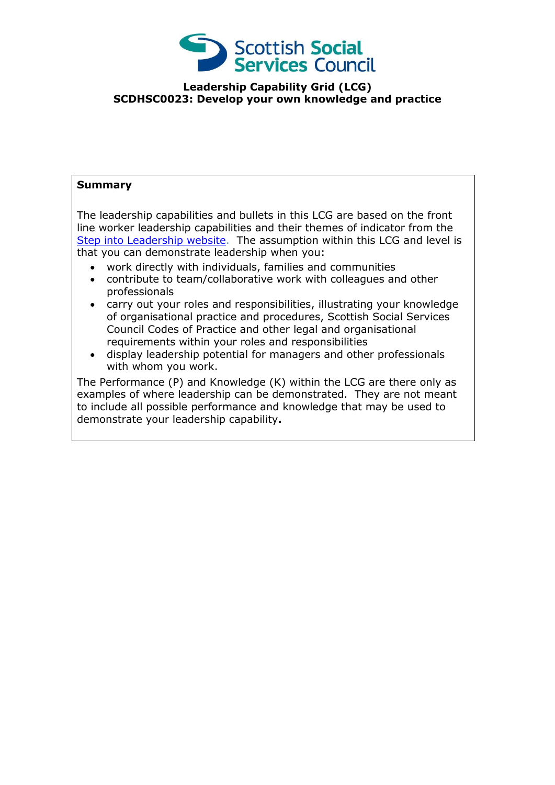

## **Leadership Capability Grid (LCG) SCDHSC0023: Develop your own knowledge and practice**

## **Summary**

The leadership capabilities and bullets in this LCG are based on the front line worker leadership capabilities and their themes of indicator from the [Step into Leadership website.](http://www.stepintoleadership.info/) The assumption within this LCG and level is that you can demonstrate leadership when you:

- work directly with individuals, families and communities
- contribute to team/collaborative work with colleagues and other professionals
- carry out your roles and responsibilities, illustrating your knowledge of organisational practice and procedures, Scottish Social Services Council Codes of Practice and other legal and organisational requirements within your roles and responsibilities
- display leadership potential for managers and other professionals with whom you work.

The Performance (P) and Knowledge (K) within the LCG are there only as examples of where leadership can be demonstrated. They are not meant to include all possible performance and knowledge that may be used to demonstrate your leadership capability**.**